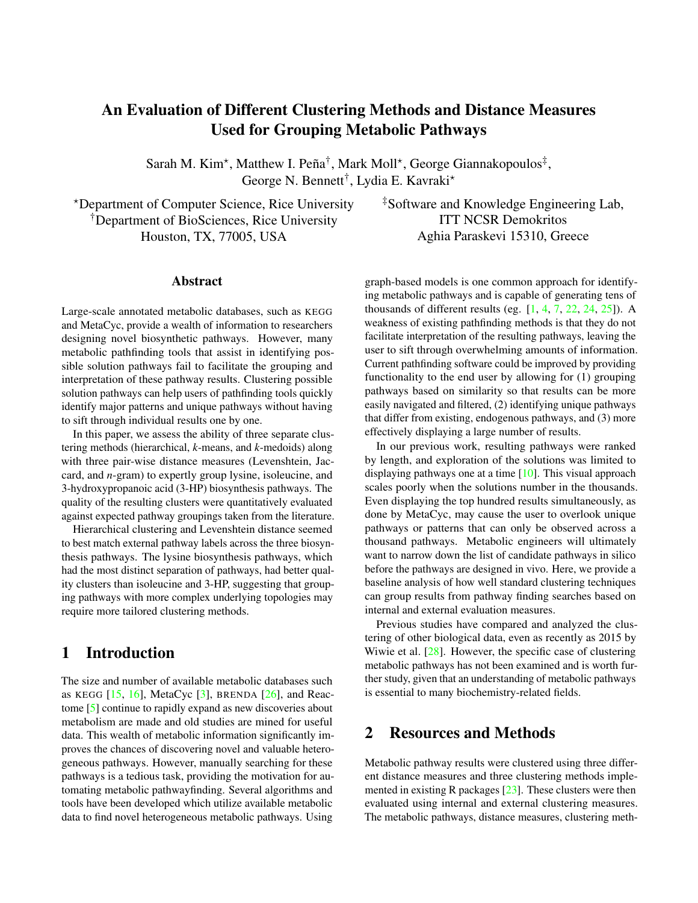# An Evaluation of Different Clustering Methods and Distance Measures Used for Grouping Metabolic Pathways

Sarah M. Kim<sup>\*</sup>, Matthew I. Peña<sup>†</sup>, Mark Moll<sup>\*</sup>, George Giannakopoulos<sup>‡</sup>, George N. Bennett<sup>†</sup>, Lydia E. Kavraki<sup>\*</sup>

?Department of Computer Science, Rice University †Department of BioSciences, Rice University Houston, TX, 77005, USA

#### Abstract

Large-scale annotated metabolic databases, such as KEGG and MetaCyc, provide a wealth of information to researchers designing novel biosynthetic pathways. However, many metabolic pathfinding tools that assist in identifying possible solution pathways fail to facilitate the grouping and interpretation of these pathway results. Clustering possible solution pathways can help users of pathfinding tools quickly identify major patterns and unique pathways without having to sift through individual results one by one.

In this paper, we assess the ability of three separate clustering methods (hierarchical, *k*-means, and *k*-medoids) along with three pair-wise distance measures (Levenshtein, Jaccard, and *n*-gram) to expertly group lysine, isoleucine, and 3-hydroxypropanoic acid (3-HP) biosynthesis pathways. The quality of the resulting clusters were quantitatively evaluated against expected pathway groupings taken from the literature.

Hierarchical clustering and Levenshtein distance seemed to best match external pathway labels across the three biosynthesis pathways. The lysine biosynthesis pathways, which had the most distinct separation of pathways, had better quality clusters than isoleucine and 3-HP, suggesting that grouping pathways with more complex underlying topologies may require more tailored clustering methods.

## 1 Introduction

The size and number of available metabolic databases such as KEGG  $[15, 16]$  $[15, 16]$  $[15, 16]$ , MetaCyc  $[3]$ , BRENDA  $[26]$ , and Reactome [\[5\]](#page-7-4) continue to rapidly expand as new discoveries about metabolism are made and old studies are mined for useful data. This wealth of metabolic information significantly improves the chances of discovering novel and valuable heterogeneous pathways. However, manually searching for these pathways is a tedious task, providing the motivation for automating metabolic pathwayfinding. Several algorithms and tools have been developed which utilize available metabolic data to find novel heterogeneous metabolic pathways. Using

‡Software and Knowledge Engineering Lab, ITT NCSR Demokritos Aghia Paraskevi 15310, Greece

graph-based models is one common approach for identifying metabolic pathways and is capable of generating tens of thousands of different results (eg.  $[1, 4, 7, 22, 24, 25]$  $[1, 4, 7, 22, 24, 25]$  $[1, 4, 7, 22, 24, 25]$  $[1, 4, 7, 22, 24, 25]$  $[1, 4, 7, 22, 24, 25]$  $[1, 4, 7, 22, 24, 25]$  $[1, 4, 7, 22, 24, 25]$  $[1, 4, 7, 22, 24, 25]$  $[1, 4, 7, 22, 24, 25]$  $[1, 4, 7, 22, 24, 25]$  $[1, 4, 7, 22, 24, 25]$ ). A weakness of existing pathfinding methods is that they do not facilitate interpretation of the resulting pathways, leaving the user to sift through overwhelming amounts of information. Current pathfinding software could be improved by providing functionality to the end user by allowing for (1) grouping pathways based on similarity so that results can be more easily navigated and filtered, (2) identifying unique pathways that differ from existing, endogenous pathways, and (3) more effectively displaying a large number of results.

In our previous work, resulting pathways were ranked by length, and exploration of the solutions was limited to displaying pathways one at a time [\[10\]](#page-7-11). This visual approach scales poorly when the solutions number in the thousands. Even displaying the top hundred results simultaneously, as done by MetaCyc, may cause the user to overlook unique pathways or patterns that can only be observed across a thousand pathways. Metabolic engineers will ultimately want to narrow down the list of candidate pathways in silico before the pathways are designed in vivo. Here, we provide a baseline analysis of how well standard clustering techniques can group results from pathway finding searches based on internal and external evaluation measures.

Previous studies have compared and analyzed the clustering of other biological data, even as recently as 2015 by Wiwie et al. [\[28\]](#page-7-12). However, the specific case of clustering metabolic pathways has not been examined and is worth further study, given that an understanding of metabolic pathways is essential to many biochemistry-related fields.

#### 2 Resources and Methods

Metabolic pathway results were clustered using three different distance measures and three clustering methods implemented in existing R packages  $[23]$ . These clusters were then evaluated using internal and external clustering measures. The metabolic pathways, distance measures, clustering meth-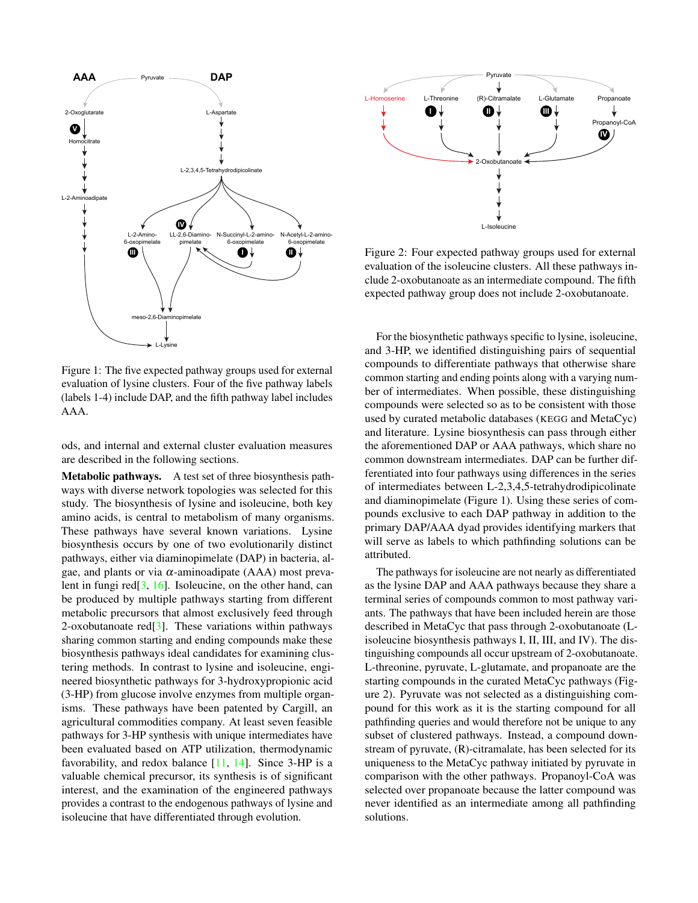

Figure 1: The five expected pathway groups used for external evaluation of lysine clusters. Four of the five pathway labels (labels 1-4) include DAP, and the fifth pathway label includes AAA.

ods, and internal and external cluster evaluation measures are described in the following sections.

Metabolic pathways. A test set of three biosynthesis pathways with diverse network topologies was selected for this study. The biosynthesis of lysine and isoleucine, both key amino acids, is central to metabolism of many organisms. These pathways have several known variations. Lysine biosynthesis occurs by one of two evolutionarily distinct pathways, either via diaminopimelate (DAP) in bacteria, algae, and plants or via  $\alpha$ -aminoadipate (AAA) most prevalent in fungi red $[3, 16]$  $[3, 16]$  $[3, 16]$ . Isoleucine, on the other hand, can be produced by multiple pathways starting from different metabolic precursors that almost exclusively feed through 2-oxobutanoate red[\[3\]](#page-7-2). These variations within pathways sharing common starting and ending compounds make these biosynthesis pathways ideal candidates for examining clustering methods. In contrast to lysine and isoleucine, engineered biosynthetic pathways for 3-hydroxypropionic acid (3-HP) from glucose involve enzymes from multiple organisms. These pathways have been patented by Cargill, an agricultural commodities company. At least seven feasible pathways for 3-HP synthesis with unique intermediates have been evaluated based on ATP utilization, thermodynamic favorability, and redox balance  $[11, 14]$  $[11, 14]$  $[11, 14]$ . Since 3-HP is a valuable chemical precursor, its synthesis is of significant interest, and the examination of the engineered pathways provides a contrast to the endogenous pathways of lysine and isoleucine that have differentiated through evolution.



Figure 2: Four expected pathway groups used for external evaluation of the isoleucine clusters. All these pathways include 2-oxobutanoate as an intermediate compound. The fifth expected pathway group does not include 2-oxobutanoate.

For the biosynthetic pathways specific to lysine, isoleucine, and 3-HP, we identified distinguishing pairs of sequential compounds to differentiate pathways that otherwise share common starting and ending points along with a varying number of intermediates. When possible, these distinguishing compounds were selected so as to be consistent with those used by curated metabolic databases (KEGG and MetaCyc) and literature. Lysine biosynthesis can pass through either the aforementioned DAP or AAA pathways, which share no common downstream intermediates. DAP can be further differentiated into four pathways using differences in the series of intermediates between L-2,3,4,5-tetrahydrodipicolinate and diaminopimelate (Figure 1). Using these series of compounds exclusive to each DAP pathway in addition to the primary DAP/AAA dyad provides identifying markers that will serve as labels to which pathfinding solutions can be attributed.

The pathways for isoleucine are not nearly as differentiated as the lysine DAP and AAA pathways because they share a terminal series of compounds common to most pathway variants. The pathways that have been included herein are those described in MetaCyc that pass through 2-oxobutanoate (Lisoleucine biosynthesis pathways I, II, III, and IV). The distinguishing compounds all occur upstream of 2-oxobutanoate. L-threonine, pyruvate, L-glutamate, and propanoate are the starting compounds in the curated MetaCyc pathways (Figure 2). Pyruvate was not selected as a distinguishing compound for this work as it is the starting compound for all pathfinding queries and would therefore not be unique to any subset of clustered pathways. Instead, a compound downstream of pyruvate, (R)-citramalate, has been selected for its uniqueness to the MetaCyc pathway initiated by pyruvate in comparison with the other pathways. Propanoyl-CoA was selected over propanoate because the latter compound was never identified as an intermediate among all pathfinding solutions.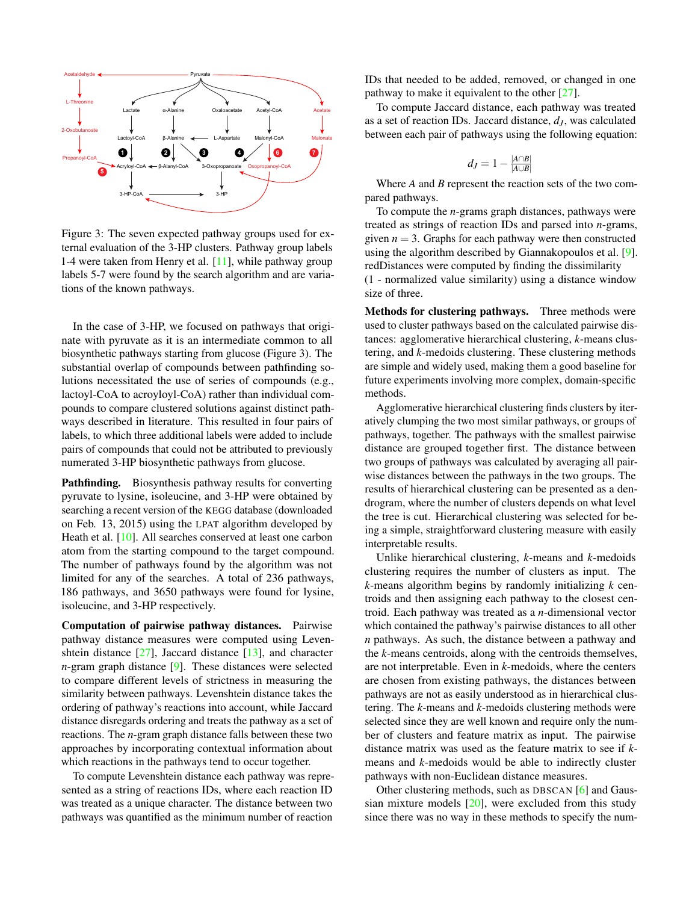

Figure 3: The seven expected pathway groups used for external evaluation of the 3-HP clusters. Pathway group labels 1-4 were taken from Henry et al. [\[11\]](#page-7-14), while pathway group labels 5-7 were found by the search algorithm and are variations of the known pathways.

In the case of 3-HP, we focused on pathways that originate with pyruvate as it is an intermediate common to all biosynthetic pathways starting from glucose (Figure 3). The substantial overlap of compounds between pathfinding solutions necessitated the use of series of compounds (e.g., lactoyl-CoA to acroyloyl-CoA) rather than individual compounds to compare clustered solutions against distinct pathways described in literature. This resulted in four pairs of labels, to which three additional labels were added to include pairs of compounds that could not be attributed to previously numerated 3-HP biosynthetic pathways from glucose.

Pathfinding. Biosynthesis pathway results for converting pyruvate to lysine, isoleucine, and 3-HP were obtained by searching a recent version of the KEGG database (downloaded on Feb. 13, 2015) using the LPAT algorithm developed by Heath et al. [\[10\]](#page-7-11). All searches conserved at least one carbon atom from the starting compound to the target compound. The number of pathways found by the algorithm was not limited for any of the searches. A total of 236 pathways, 186 pathways, and 3650 pathways were found for lysine, isoleucine, and 3-HP respectively.

Computation of pairwise pathway distances. Pairwise pathway distance measures were computed using Levenshtein distance [\[27\]](#page-7-16), Jaccard distance [\[13\]](#page-7-17), and character *n*-gram graph distance [\[9\]](#page-7-18). These distances were selected to compare different levels of strictness in measuring the similarity between pathways. Levenshtein distance takes the ordering of pathway's reactions into account, while Jaccard distance disregards ordering and treats the pathway as a set of reactions. The *n*-gram graph distance falls between these two approaches by incorporating contextual information about which reactions in the pathways tend to occur together.

To compute Levenshtein distance each pathway was represented as a string of reactions IDs, where each reaction ID was treated as a unique character. The distance between two pathways was quantified as the minimum number of reaction

IDs that needed to be added, removed, or changed in one pathway to make it equivalent to the other [\[27\]](#page-7-16).

To compute Jaccard distance, each pathway was treated as a set of reaction IDs. Jaccard distance, *d<sup>J</sup>* , was calculated between each pair of pathways using the following equation:

$$
d_J=1-\tfrac{|A\cap B|}{|A\cup B|}
$$

Where *A* and *B* represent the reaction sets of the two compared pathways.

To compute the *n*-grams graph distances, pathways were treated as strings of reaction IDs and parsed into *n*-grams, given  $n = 3$ . Graphs for each pathway were then constructed using the algorithm described by Giannakopoulos et al. [\[9\]](#page-7-18). redDistances were computed by finding the dissimilarity (1 - normalized value similarity) using a distance window size of three.

Methods for clustering pathways. Three methods were used to cluster pathways based on the calculated pairwise distances: agglomerative hierarchical clustering, *k*-means clustering, and *k*-medoids clustering. These clustering methods are simple and widely used, making them a good baseline for future experiments involving more complex, domain-specific methods.

Agglomerative hierarchical clustering finds clusters by iteratively clumping the two most similar pathways, or groups of pathways, together. The pathways with the smallest pairwise distance are grouped together first. The distance between two groups of pathways was calculated by averaging all pairwise distances between the pathways in the two groups. The results of hierarchical clustering can be presented as a dendrogram, where the number of clusters depends on what level the tree is cut. Hierarchical clustering was selected for being a simple, straightforward clustering measure with easily interpretable results.

Unlike hierarchical clustering, *k*-means and *k*-medoids clustering requires the number of clusters as input. The *k*-means algorithm begins by randomly initializing *k* centroids and then assigning each pathway to the closest centroid. Each pathway was treated as a *n*-dimensional vector which contained the pathway's pairwise distances to all other *n* pathways. As such, the distance between a pathway and the *k*-means centroids, along with the centroids themselves, are not interpretable. Even in *k*-medoids, where the centers are chosen from existing pathways, the distances between pathways are not as easily understood as in hierarchical clustering. The *k*-means and *k*-medoids clustering methods were selected since they are well known and require only the number of clusters and feature matrix as input. The pairwise distance matrix was used as the feature matrix to see if *k*means and *k*-medoids would be able to indirectly cluster pathways with non-Euclidean distance measures.

Other clustering methods, such as DBSCAN [\[6\]](#page-7-19) and Gaussian mixture models  $[20]$ , were excluded from this study since there was no way in these methods to specify the num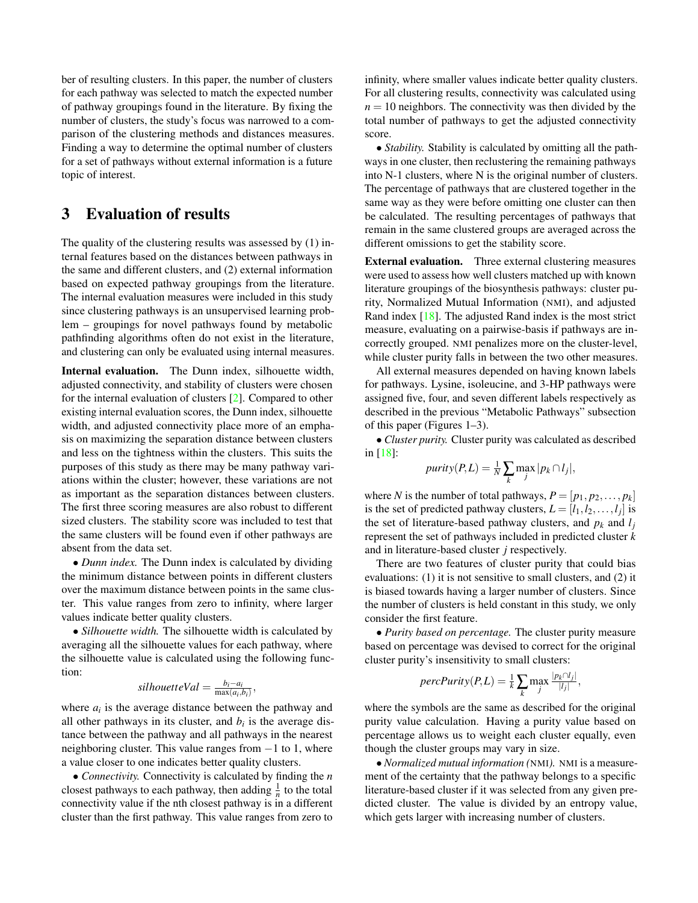ber of resulting clusters. In this paper, the number of clusters for each pathway was selected to match the expected number of pathway groupings found in the literature. By fixing the number of clusters, the study's focus was narrowed to a comparison of the clustering methods and distances measures. Finding a way to determine the optimal number of clusters for a set of pathways without external information is a future topic of interest.

# 3 Evaluation of results

The quality of the clustering results was assessed by (1) internal features based on the distances between pathways in the same and different clusters, and (2) external information based on expected pathway groupings from the literature. The internal evaluation measures were included in this study since clustering pathways is an unsupervised learning problem – groupings for novel pathways found by metabolic pathfinding algorithms often do not exist in the literature, and clustering can only be evaluated using internal measures.

Internal evaluation. The Dunn index, silhouette width, adjusted connectivity, and stability of clusters were chosen for the internal evaluation of clusters [\[2\]](#page-7-21). Compared to other existing internal evaluation scores, the Dunn index, silhouette width, and adjusted connectivity place more of an emphasis on maximizing the separation distance between clusters and less on the tightness within the clusters. This suits the purposes of this study as there may be many pathway variations within the cluster; however, these variations are not as important as the separation distances between clusters. The first three scoring measures are also robust to different sized clusters. The stability score was included to test that the same clusters will be found even if other pathways are absent from the data set.

• *Dunn index.* The Dunn index is calculated by dividing the minimum distance between points in different clusters over the maximum distance between points in the same cluster. This value ranges from zero to infinity, where larger values indicate better quality clusters.

• *Silhouette width.* The silhouette width is calculated by averaging all the silhouette values for each pathway, where the silhouette value is calculated using the following function:

$$
silhouetteVal = \frac{b_i - a_i}{\max(a_i, b_i)},
$$

where  $a_i$  is the average distance between the pathway and all other pathways in its cluster, and  $b_i$  is the average distance between the pathway and all pathways in the nearest neighboring cluster. This value ranges from −1 to 1, where a value closer to one indicates better quality clusters.

• *Connectivity.* Connectivity is calculated by finding the *n* closest pathways to each pathway, then adding  $\frac{1}{n}$  to the total connectivity value if the nth closest pathway is in a different cluster than the first pathway. This value ranges from zero to

infinity, where smaller values indicate better quality clusters. For all clustering results, connectivity was calculated using  $n = 10$  neighbors. The connectivity was then divided by the total number of pathways to get the adjusted connectivity score.

• *Stability.* Stability is calculated by omitting all the pathways in one cluster, then reclustering the remaining pathways into N-1 clusters, where N is the original number of clusters. The percentage of pathways that are clustered together in the same way as they were before omitting one cluster can then be calculated. The resulting percentages of pathways that remain in the same clustered groups are averaged across the different omissions to get the stability score.

External evaluation. Three external clustering measures were used to assess how well clusters matched up with known literature groupings of the biosynthesis pathways: cluster purity, Normalized Mutual Information (NMI), and adjusted Rand index [\[18\]](#page-7-22). The adjusted Rand index is the most strict measure, evaluating on a pairwise-basis if pathways are incorrectly grouped. NMI penalizes more on the cluster-level, while cluster purity falls in between the two other measures.

All external measures depended on having known labels for pathways. Lysine, isoleucine, and 3-HP pathways were assigned five, four, and seven different labels respectively as described in the previous "Metabolic Pathways" subsection of this paper (Figures 1–3).

• *Cluster purity.* Cluster purity was calculated as described in [\[18\]](#page-7-22):

$$
purity(P, L) = \frac{1}{N} \sum_{k} \max_{j} |p_k \cap l_j|,
$$

where *N* is the number of total pathways,  $P = [p_1, p_2, \dots, p_k]$ is the set of predicted pathway clusters,  $L = [l_1, l_2, \dots, l_j]$  is the set of literature-based pathway clusters, and  $p_k$  and  $l_j$ represent the set of pathways included in predicted cluster *k* and in literature-based cluster *j* respectively.

There are two features of cluster purity that could bias evaluations: (1) it is not sensitive to small clusters, and (2) it is biased towards having a larger number of clusters. Since the number of clusters is held constant in this study, we only consider the first feature.

• *Purity based on percentage.* The cluster purity measure based on percentage was devised to correct for the original cluster purity's insensitivity to small clusters:

$$
percPurity(P, L) = \frac{1}{k} \sum_{k} \max_{j} \frac{|p_k \cap l_j|}{|l_j|},
$$

where the symbols are the same as described for the original purity value calculation. Having a purity value based on percentage allows us to weight each cluster equally, even though the cluster groups may vary in size.

• *Normalized mutual information (*NMI*).* NMI is a measurement of the certainty that the pathway belongs to a specific literature-based cluster if it was selected from any given predicted cluster. The value is divided by an entropy value, which gets larger with increasing number of clusters.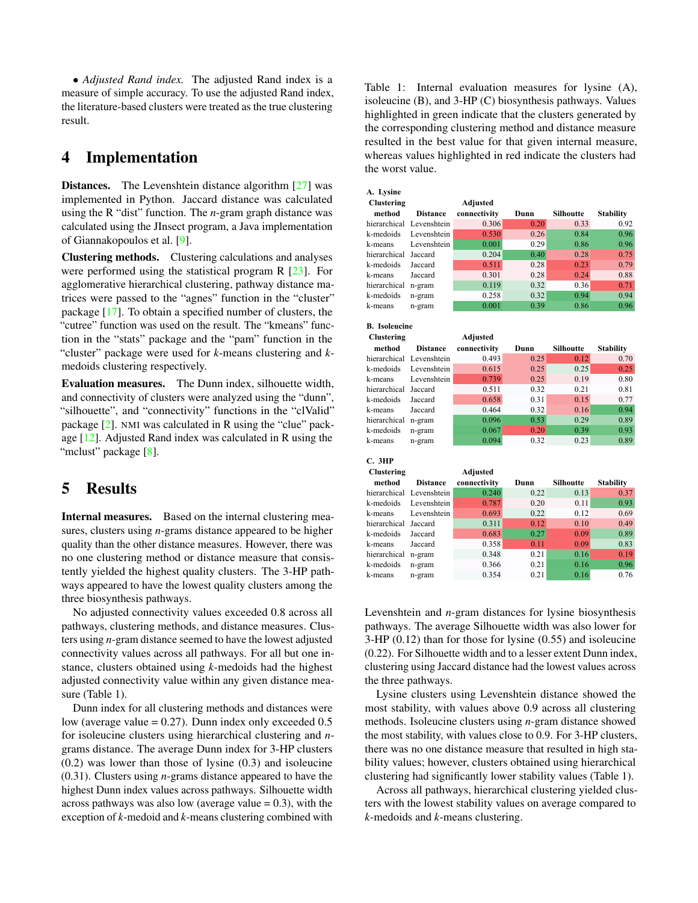• *Adjusted Rand index.* The adjusted Rand index is a measure of simple accuracy. To use the adjusted Rand index, the literature-based clusters were treated as the true clustering result.

### 4 Implementation

**Distances.** The Levenshtein distance algorithm [\[27\]](#page-7-16) was implemented in Python. Jaccard distance was calculated using the R "dist" function. The *n*-gram graph distance was calculated using the JInsect program, a Java implementation of Giannakopoulos et al. [\[9\]](#page-7-18).

Clustering methods. Clustering calculations and analyses were performed using the statistical program R [\[23\]](#page-7-13). For agglomerative hierarchical clustering, pathway distance matrices were passed to the "agnes" function in the "cluster" package [\[17\]](#page-7-23). To obtain a specified number of clusters, the "cutree" function was used on the result. The "kmeans" function in the "stats" package and the "pam" function in the "cluster" package were used for *k*-means clustering and *k*medoids clustering respectively.

Evaluation measures. The Dunn index, silhouette width, and connectivity of clusters were analyzed using the "dunn", "silhouette", and "connectivity" functions in the "clValid" package [\[2\]](#page-7-21). NMI was calculated in R using the "clue" package [\[12\]](#page-7-24). Adjusted Rand index was calculated in R using the "mclust" package [\[8\]](#page-7-25).

# 5 Results

Internal measures. Based on the internal clustering measures, clusters using *n*-grams distance appeared to be higher quality than the other distance measures. However, there was no one clustering method or distance measure that consistently yielded the highest quality clusters. The 3-HP pathways appeared to have the lowest quality clusters among the three biosynthesis pathways.

No adjusted connectivity values exceeded 0.8 across all pathways, clustering methods, and distance measures. Clusters using *n*-gram distance seemed to have the lowest adjusted connectivity values across all pathways. For all but one instance, clusters obtained using *k*-medoids had the highest adjusted connectivity value within any given distance measure (Table 1).

Dunn index for all clustering methods and distances were low (average value  $= 0.27$ ). Dunn index only exceeded  $0.5$ for isoleucine clusters using hierarchical clustering and *n*grams distance. The average Dunn index for 3-HP clusters (0.2) was lower than those of lysine (0.3) and isoleucine (0.31). Clusters using *n*-grams distance appeared to have the highest Dunn index values across pathways. Silhouette width across pathways was also low (average value  $= 0.3$ ), with the exception of *k*-medoid and *k*-means clustering combined with

Table 1: Internal evaluation measures for lysine (A), isoleucine (B), and 3-HP (C) biosynthesis pathways. Values highlighted in green indicate that the clusters generated by the corresponding clustering method and distance measure resulted in the best value for that given internal measure, whereas values highlighted in red indicate the clusters had the worst value.

| A. Lysine            |                 |                 |      |                  |                  |
|----------------------|-----------------|-----------------|------|------------------|------------------|
| Clustering           |                 | Adjusted        |      |                  |                  |
| method               | <b>Distance</b> | connectivity    | Dunn | Silhoutte        | <b>Stability</b> |
| hierarchical         | Levenshtein     | 0.306           | 0.20 | 0.33             | 0.92             |
| k-medoids            | Levenshtein     | 0.530           | 0.26 | 0.84             | 0.96             |
| k-means              | Levenshtein     | 0.001           | 0.29 | 0.86             | 0.96             |
| hierarchical         | Jaccard         | 0.204           | 0.40 | 0.28             | 0.75             |
| k-medoids            | Jaccard         | 0.511           | 0.28 | 0.23             | 0.79             |
| k-means              | Jaccard         | 0.301           | 0.28 | 0.24             | 0.88             |
| hierarchical n-gram  |                 | 0.119           | 0.32 | 0.36             | 0.71             |
| k-medoids            | n-gram          | 0.258           | 0.32 | 0.94             | 0.94             |
| k-means              | n-gram          | 0.001           | 0.39 | 0.86             | 0.96             |
| <b>B.</b> Isoleucine |                 |                 |      |                  |                  |
|                      |                 |                 |      |                  |                  |
| Clustering           |                 | <b>Adjusted</b> |      |                  |                  |
| method               | <b>Distance</b> | connectivity    | Dunn | <b>Silhoutte</b> | <b>Stability</b> |
| hierarchical         | Levenshtein     | 0.493           | 0.25 | 0.12             | 0.70             |
| k-medoids            | Levenshtein     | 0.615           | 0.25 | 0.25             | 0.25             |
| k-means              | Levenshtein     | 0.739           | 0.25 | 0.19             | 0.80             |
| hierarchical         | Jaccard         | 0.511           | 0.32 | 0.21             | 0.81             |
| k-medoids            | Jaccard         | 0.658           | 0.31 | 0.15             | 0.77             |
| k-means              | Jaccard         | 0.464           | 0.32 | 0.16             | 0.94             |
| hierarchical         | n-gram          | 0.096           | 0.53 | 0.29             | 0.89             |
| k-medoids            | n-gram          | 0.067           | 0.20 | 0.39             | 0.93             |
| k-means              | n-gram          | 0.094           | 0.32 | 0.23             | 0.89             |
| C. 3HP               |                 |                 |      |                  |                  |
| Clustering           |                 | <b>Adjusted</b> |      |                  |                  |
| method               | <b>Distance</b> | connectivity    | Dunn | Silhoutte        | <b>Stability</b> |
| hierarchical         | Levenshtein     | 0.240           | 0.22 | 0.13             | 0.37             |
| k-medoids            | Levenshtein     | 0.787           | 0.20 | 0.11             | 0.93             |
| k-means              | Levenshtein     | 0.693           | 0.22 | 0.12             | 0.69             |
| hierarchical         | Jaccard         | 0.311           | 0.12 | 0.10             | 0.49             |
| k-medoids            | Jaccard         | 0.683           | 0.27 | 0.09             | 0.89             |
| k-means              | Jaccard         | 0.358           | 0.11 | 0.09             | 0.83             |
| hierarchical         | n-gram          | 0.348           | 0.21 | 0.16             | 0.19             |
| k-medoids            | n-gram          | 0.366           | 0.21 | 0.16             | 0.96             |
| k-means              | n-gram          | 0.354           | 0.21 | 0.16             | 0.76             |

Levenshtein and *n*-gram distances for lysine biosynthesis pathways. The average Silhouette width was also lower for 3-HP (0.12) than for those for lysine (0.55) and isoleucine (0.22). For Silhouette width and to a lesser extent Dunn index, clustering using Jaccard distance had the lowest values across the three pathways.

Lysine clusters using Levenshtein distance showed the most stability, with values above 0.9 across all clustering methods. Isoleucine clusters using *n*-gram distance showed the most stability, with values close to 0.9. For 3-HP clusters, there was no one distance measure that resulted in high stability values; however, clusters obtained using hierarchical clustering had significantly lower stability values (Table 1).

Across all pathways, hierarchical clustering yielded clusters with the lowest stability values on average compared to *k*-medoids and *k*-means clustering.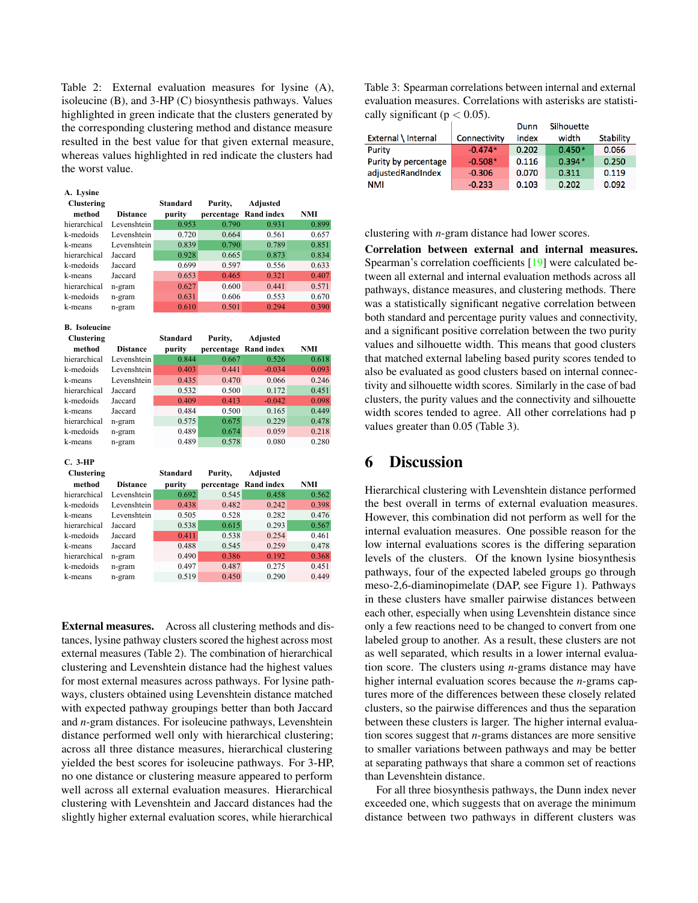Table 2: External evaluation measures for lysine (A), isoleucine (B), and 3-HP (C) biosynthesis pathways. Values highlighted in green indicate that the clusters generated by the corresponding clustering method and distance measure resulted in the best value for that given external measure, whereas values highlighted in red indicate the clusters had the worst value.

| A. Lysine            |                 |                 |            |                       |       |  |
|----------------------|-----------------|-----------------|------------|-----------------------|-------|--|
| <b>Clustering</b>    |                 | Standard        | Purity,    | Adjusted              |       |  |
| method               | <b>Distance</b> | purity          |            | percentage Rand index | NMI   |  |
| hierarchical         | Levenshtein     | 0.953           | 0.790      | 0.931                 | 0.899 |  |
| k-medoids            | Levenshtein     | 0.720           | 0.664      | 0.561                 | 0.657 |  |
| k-means              | Levenshtein     | 0.839           | 0.790      | 0.789                 | 0.851 |  |
| hierarchical         | Jaccard         | 0.928           | 0.665      | 0.873                 | 0.834 |  |
| k-medoids            | Jaccard         | 0.699           | 0.597      | 0.556                 | 0.633 |  |
| k-means              | Jaccard         | 0.653           | 0.465      | 0.321                 | 0.407 |  |
| hierarchical         | n-gram          | 0.627           | 0.600      | 0.441                 | 0.571 |  |
| k-medoids            | n-gram          | 0.631           | 0.606      | 0.553                 | 0.670 |  |
| k-means              | n-gram          | 0.610           | 0.501      | 0.294                 | 0.390 |  |
|                      |                 |                 |            |                       |       |  |
| <b>B.</b> Isoleucine |                 |                 |            |                       |       |  |
| <b>Clustering</b>    |                 | <b>Standard</b> | Purity,    | Adjusted              |       |  |
| method               | <b>Distance</b> | purity          | percentage | <b>Rand index</b>     | NMI   |  |
| hierarchical         | Levenshtein     | 0.844           | 0.667      | 0.526                 | 0.618 |  |
| k-medoids            | Levenshtein     | 0.403           | 0.441      | $-0.034$              | 0.093 |  |
| k-means              | Levenshtein     | 0.435           | 0.470      | 0.066                 | 0.246 |  |
| hierarchical         | Jaccard         | 0.532           | 0.500      | 0.172                 | 0.451 |  |
| k-medoids            | Jaccard         | 0.409           | 0.413      | $-0.042$              | 0.098 |  |
| k-means              | Jaccard         | 0.484           | 0.500      | 0.165                 | 0.449 |  |
| hierarchical         | n-gram          | 0.575           | 0.675      | 0.229                 | 0.478 |  |

**C. 3-HP**

| <b>Clustering</b> |                 | <b>Standard</b> | Purity, | Adjusted              |       |
|-------------------|-----------------|-----------------|---------|-----------------------|-------|
| method            | <b>Distance</b> | purity          |         | percentage Rand index | NMI   |
| hierarchical      | Levenshtein     | 0.692           | 0.545   | 0.458                 | 0.562 |
| k-medoids         | Levenshtein     | 0.438           | 0.482   | 0.242                 | 0.398 |
| k-means           | Levenshtein     | 0.505           | 0.528   | 0.282                 | 0.476 |
| hierarchical      | Jaccard         | 0.538           | 0.615   | 0.293                 | 0.567 |
| k-medoids         | Jaccard         | 0.411           | 0.538   | 0.254                 | 0.461 |
| k-means           | Jaccard         | 0.488           | 0.545   | 0.259                 | 0.478 |
| hierarchical      | n-gram          | 0.490           | 0.386   | 0.192                 | 0.368 |
| k-medoids         | n-gram          | 0.497           | 0.487   | 0.275                 | 0.451 |
| k-means           | n-gram          | 0.519           | 0.450   | 0.290                 | 0.449 |

k-medoids n-gram 0.489 0.674 0.059 0.218 k-means n-gram 0.489 0.578 0.080 0.280

External measures. Across all clustering methods and distances, lysine pathway clusters scored the highest across most external measures (Table 2). The combination of hierarchical clustering and Levenshtein distance had the highest values for most external measures across pathways. For lysine pathways, clusters obtained using Levenshtein distance matched with expected pathway groupings better than both Jaccard and *n*-gram distances. For isoleucine pathways, Levenshtein distance performed well only with hierarchical clustering; across all three distance measures, hierarchical clustering yielded the best scores for isoleucine pathways. For 3-HP, no one distance or clustering measure appeared to perform well across all external evaluation measures. Hierarchical clustering with Levenshtein and Jaccard distances had the slightly higher external evaluation scores, while hierarchical

Table 3: Spearman correlations between internal and external evaluation measures. Correlations with asterisks are statistically significant ( $p < 0.05$ ).  $\overline{a}$ 

|                      |              | Dunn  | Silhouette |           |
|----------------------|--------------|-------|------------|-----------|
| External \ Internal  | Connectivity | index | width      | Stability |
| Purity               | $-0.474*$    | 0.202 | $0.450*$   | 0.066     |
| Purity by percentage | $-0.508*$    | 0.116 | $0.394*$   | 0.250     |
| adjustedRandIndex    | $-0.306$     | 0.070 | 0.311      | 0.119     |
| NMI                  | $-0.233$     | 0.103 | 0.202      | 0.092     |

clustering with *n*-gram distance had lower scores.

Correlation between external and internal measures. Spearman's correlation coefficients [\[19\]](#page-7-26) were calculated between all external and internal evaluation methods across all pathways, distance measures, and clustering methods. There was a statistically significant negative correlation between both standard and percentage purity values and connectivity, and a significant positive correlation between the two purity values and silhouette width. This means that good clusters that matched external labeling based purity scores tended to also be evaluated as good clusters based on internal connectivity and silhouette width scores. Similarly in the case of bad clusters, the purity values and the connectivity and silhouette width scores tended to agree. All other correlations had p values greater than 0.05 (Table 3).

#### 6 Discussion

Hierarchical clustering with Levenshtein distance performed the best overall in terms of external evaluation measures. However, this combination did not perform as well for the internal evaluation measures. One possible reason for the low internal evaluations scores is the differing separation levels of the clusters. Of the known lysine biosynthesis pathways, four of the expected labeled groups go through meso-2,6-diaminopimelate (DAP, see Figure 1). Pathways in these clusters have smaller pairwise distances between each other, especially when using Levenshtein distance since only a few reactions need to be changed to convert from one labeled group to another. As a result, these clusters are not as well separated, which results in a lower internal evaluation score. The clusters using *n*-grams distance may have higher internal evaluation scores because the *n*-grams captures more of the differences between these closely related clusters, so the pairwise differences and thus the separation between these clusters is larger. The higher internal evaluation scores suggest that *n*-grams distances are more sensitive to smaller variations between pathways and may be better at separating pathways that share a common set of reactions than Levenshtein distance.

For all three biosynthesis pathways, the Dunn index never exceeded one, which suggests that on average the minimum distance between two pathways in different clusters was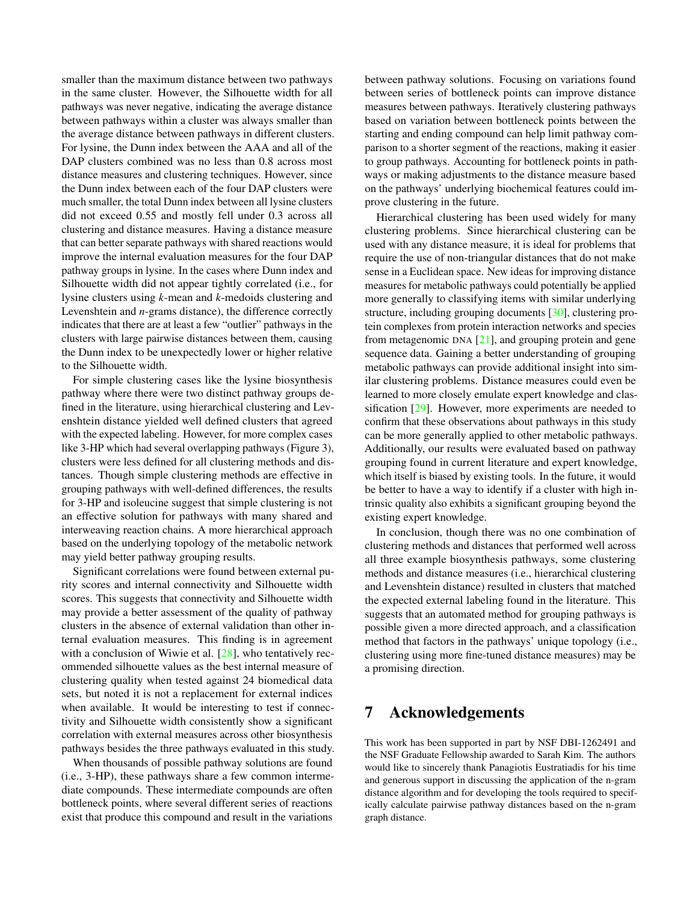smaller than the maximum distance between two pathways in the same cluster. However, the Silhouette width for all pathways was never negative, indicating the average distance between pathways within a cluster was always smaller than the average distance between pathways in different clusters. For lysine, the Dunn index between the AAA and all of the DAP clusters combined was no less than 0.8 across most distance measures and clustering techniques. However, since the Dunn index between each of the four DAP clusters were much smaller, the total Dunn index between all lysine clusters did not exceed 0.55 and mostly fell under 0.3 across all clustering and distance measures. Having a distance measure that can better separate pathways with shared reactions would improve the internal evaluation measures for the four DAP pathway groups in lysine. In the cases where Dunn index and Silhouette width did not appear tightly correlated (i.e., for lysine clusters using *k*-mean and *k*-medoids clustering and Levenshtein and *n*-grams distance), the difference correctly indicates that there are at least a few "outlier" pathways in the clusters with large pairwise distances between them, causing the Dunn index to be unexpectedly lower or higher relative to the Silhouette width.

For simple clustering cases like the lysine biosynthesis pathway where there were two distinct pathway groups defined in the literature, using hierarchical clustering and Levenshtein distance yielded well defined clusters that agreed with the expected labeling. However, for more complex cases like 3-HP which had several overlapping pathways (Figure 3), clusters were less defined for all clustering methods and distances. Though simple clustering methods are effective in grouping pathways with well-defined differences, the results for 3-HP and isoleucine suggest that simple clustering is not an effective solution for pathways with many shared and interweaving reaction chains. A more hierarchical approach based on the underlying topology of the metabolic network may yield better pathway grouping results.

Significant correlations were found between external purity scores and internal connectivity and Silhouette width scores. This suggests that connectivity and Silhouette width may provide a better assessment of the quality of pathway clusters in the absence of external validation than other internal evaluation measures. This finding is in agreement with a conclusion of Wiwie et al. [\[28\]](#page-7-12), who tentatively recommended silhouette values as the best internal measure of clustering quality when tested against 24 biomedical data sets, but noted it is not a replacement for external indices when available. It would be interesting to test if connectivity and Silhouette width consistently show a significant correlation with external measures across other biosynthesis pathways besides the three pathways evaluated in this study.

When thousands of possible pathway solutions are found (i.e., 3-HP), these pathways share a few common intermediate compounds. These intermediate compounds are often bottleneck points, where several different series of reactions exist that produce this compound and result in the variations

between pathway solutions. Focusing on variations found between series of bottleneck points can improve distance measures between pathways. Iteratively clustering pathways based on variation between bottleneck points between the starting and ending compound can help limit pathway comparison to a shorter segment of the reactions, making it easier to group pathways. Accounting for bottleneck points in pathways or making adjustments to the distance measure based on the pathways' underlying biochemical features could improve clustering in the future.

Hierarchical clustering has been used widely for many clustering problems. Since hierarchical clustering can be used with any distance measure, it is ideal for problems that require the use of non-triangular distances that do not make sense in a Euclidean space. New ideas for improving distance measures for metabolic pathways could potentially be applied more generally to classifying items with similar underlying structure, including grouping documents [\[30\]](#page-7-27), clustering protein complexes from protein interaction networks and species from metagenomic DNA  $[21]$ , and grouping protein and gene sequence data. Gaining a better understanding of grouping metabolic pathways can provide additional insight into similar clustering problems. Distance measures could even be learned to more closely emulate expert knowledge and classification [\[29\]](#page-7-29). However, more experiments are needed to confirm that these observations about pathways in this study can be more generally applied to other metabolic pathways. Additionally, our results were evaluated based on pathway grouping found in current literature and expert knowledge, which itself is biased by existing tools. In the future, it would be better to have a way to identify if a cluster with high intrinsic quality also exhibits a significant grouping beyond the existing expert knowledge.

In conclusion, though there was no one combination of clustering methods and distances that performed well across all three example biosynthesis pathways, some clustering methods and distance measures (i.e., hierarchical clustering and Levenshtein distance) resulted in clusters that matched the expected external labeling found in the literature. This suggests that an automated method for grouping pathways is possible given a more directed approach, and a classification method that factors in the pathways' unique topology (i.e., clustering using more fine-tuned distance measures) may be a promising direction.

### 7 Acknowledgements

This work has been supported in part by NSF DBI-1262491 and the NSF Graduate Fellowship awarded to Sarah Kim. The authors would like to sincerely thank Panagiotis Eustratiadis for his time and generous support in discussing the application of the n-gram distance algorithm and for developing the tools required to specifically calculate pairwise pathway distances based on the n-gram graph distance.